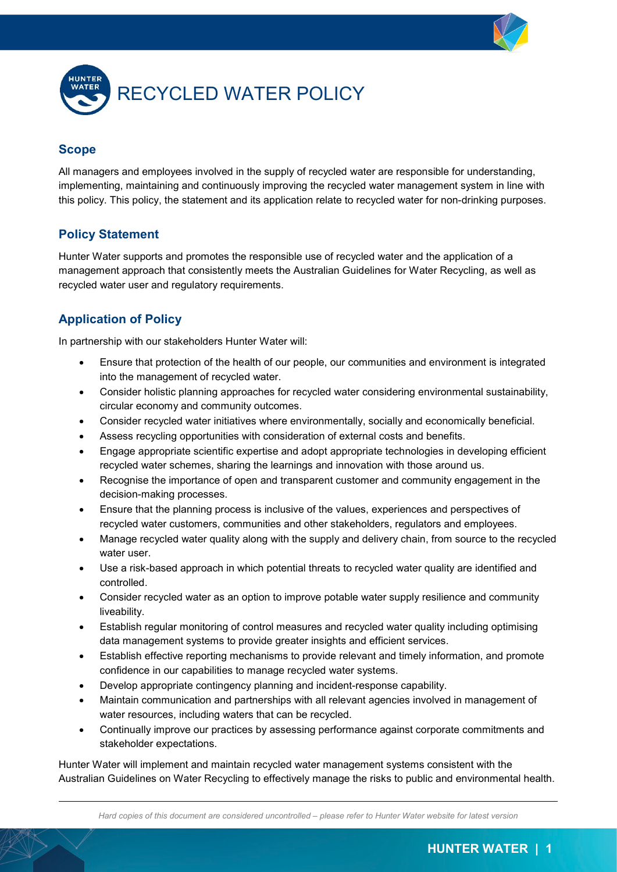



## **Scope**

All managers and employees involved in the supply of recycled water are responsible for understanding, implementing, maintaining and continuously improving the recycled water management system in line with this policy. This policy, the statement and its application relate to recycled water for non-drinking purposes.

## **Policy Statement**

Hunter Water supports and promotes the responsible use of recycled water and the application of a management approach that consistently meets the Australian Guidelines for Water Recycling, as well as recycled water user and regulatory requirements.

## **Application of Policy**

In partnership with our stakeholders Hunter Water will:

- Ensure that protection of the health of our people, our communities and environment is integrated into the management of recycled water.
- Consider holistic planning approaches for recycled water considering environmental sustainability, circular economy and community outcomes.
- Consider recycled water initiatives where environmentally, socially and economically beneficial.
- Assess recycling opportunities with consideration of external costs and benefits.
- Engage appropriate scientific expertise and adopt appropriate technologies in developing efficient recycled water schemes, sharing the learnings and innovation with those around us.
- Recognise the importance of open and transparent customer and community engagement in the decision-making processes.
- Ensure that the planning process is inclusive of the values, experiences and perspectives of recycled water customers, communities and other stakeholders, regulators and employees.
- Manage recycled water quality along with the supply and delivery chain, from source to the recycled water user.
- Use a risk-based approach in which potential threats to recycled water quality are identified and controlled.
- Consider recycled water as an option to improve potable water supply resilience and community liveability.
- Establish regular monitoring of control measures and recycled water quality including optimising data management systems to provide greater insights and efficient services.
- Establish effective reporting mechanisms to provide relevant and timely information, and promote confidence in our capabilities to manage recycled water systems.
- Develop appropriate contingency planning and incident-response capability.
- Maintain communication and partnerships with all relevant agencies involved in management of water resources, including waters that can be recycled.
- Continually improve our practices by assessing performance against corporate commitments and stakeholder expectations.

Hunter Water will implement and maintain recycled water management systems consistent with the Australian Guidelines on Water Recycling to effectively manage the risks to public and environmental health.

*Hard copies of this document are considered uncontrolled – please refer to Hunter Water website for latest version*